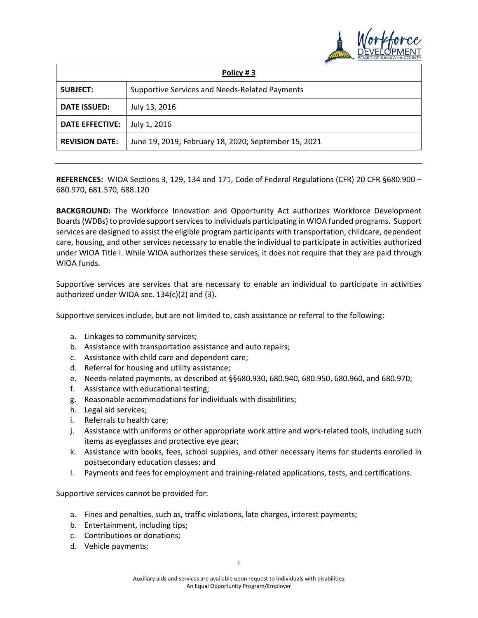

| Policy #3              |                                                      |
|------------------------|------------------------------------------------------|
| <b>SUBJECT:</b>        | Supportive Services and Needs-Related Payments       |
| <b>DATE ISSUED:</b>    | July 13, 2016                                        |
| <b>DATE EFFECTIVE:</b> | July 1, 2016                                         |
| <b>REVISION DATE:</b>  | June 19, 2019; February 18, 2020; September 15, 2021 |

**REFERENCES:** WIOA Sections 3, 129, 134 and 171, Code of Federal Regulations (CFR) 20 CFR §680.900 – 680.970, 681.570, 688.120

**BACKGROUND:** The Workforce Innovation and Opportunity Act authorizes Workforce Development Boards (WDBs) to provide support services to individuals participating in WIOA funded programs. Support services are designed to assist the eligible program participants with transportation, childcare, dependent care, housing, and other services necessary to enable the individual to participate in activities authorized under WIOA Title I. While WIOA authorizes these services, it does not require that they are paid through WIOA funds.

Supportive services are services that are necessary to enable an individual to participate in activities authorized under WIOA sec. 134(c)(2) and (3).

Supportive services include, but are not limited to, cash assistance or referral to the following:

- a. Linkages to community services;
- b. Assistance with transportation assistance and auto repairs;
- c. Assistance with child care and dependent care;
- d. Referral for housing and utility assistance;
- e. Needs-related payments, as described at §§680.930, 680.940, 680.950, 680.960, and 680.970;
- f. Assistance with educational testing;
- g. Reasonable accommodations for individuals with disabilities;
- h. Legal aid services;
- i. Referrals to health care;
- j. Assistance with uniforms or other appropriate work attire and work-related tools, including such items as eyeglasses and protective eye gear;
- k. Assistance with books, fees, school supplies, and other necessary items for students enrolled in postsecondary education classes; and
- l. Payments and fees for employment and training-related applications, tests, and certifications.

Supportive services cannot be provided for:

- a. Fines and penalties, such as, traffic violations, late charges, interest payments;
- b. Entertainment, including tips;
- c. Contributions or donations;
- d. Vehicle payments;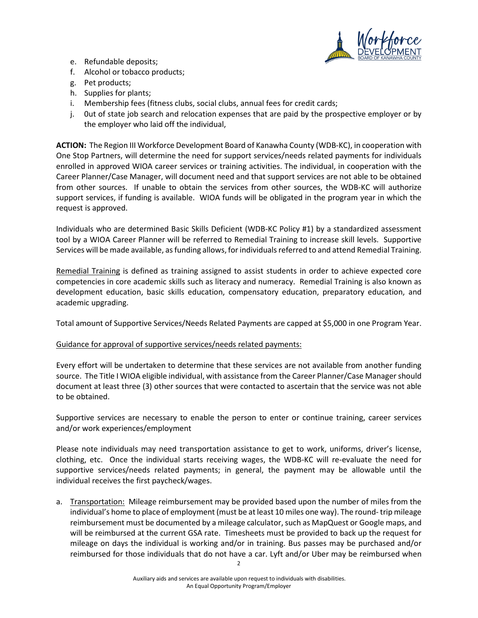

- e. Refundable deposits;
- f. Alcohol or tobacco products;
- g. Pet products;
- h. Supplies for plants;
- i. Membership fees (fitness clubs, social clubs, annual fees for credit cards;
- j. 0ut of state job search and relocation expenses that are paid by the prospective employer or by the employer who laid off the individual,

**ACTION:** The Region III Workforce Development Board of Kanawha County (WDB-KC), in cooperation with One Stop Partners, will determine the need for support services/needs related payments for individuals enrolled in approved WIOA career services or training activities. The individual, in cooperation with the Career Planner/Case Manager, will document need and that support services are not able to be obtained from other sources. If unable to obtain the services from other sources, the WDB-KC will authorize support services, if funding is available. WIOA funds will be obligated in the program year in which the request is approved.

Individuals who are determined Basic Skills Deficient (WDB-KC Policy #1) by a standardized assessment tool by a WIOA Career Planner will be referred to Remedial Training to increase skill levels. Supportive Services will be made available, as funding allows, for individuals referred to and attend Remedial Training.

Remedial Training is defined as training assigned to assist students in order to achieve expected core competencies in core academic skills such as literacy and numeracy. Remedial Training is also known as development education, basic skills education, compensatory education, preparatory education, and academic upgrading.

Total amount of Supportive Services/Needs Related Payments are capped at \$5,000 in one Program Year.

## Guidance for approval of supportive services/needs related payments:

Every effort will be undertaken to determine that these services are not available from another funding source. The Title I WIOA eligible individual, with assistance from the Career Planner/Case Manager should document at least three (3) other sources that were contacted to ascertain that the service was not able to be obtained.

Supportive services are necessary to enable the person to enter or continue training, career services and/or work experiences/employment

Please note individuals may need transportation assistance to get to work, uniforms, driver's license, clothing, etc. Once the individual starts receiving wages, the WDB-KC will re-evaluate the need for supportive services/needs related payments; in general, the payment may be allowable until the individual receives the first paycheck/wages.

a. Transportation:Mileage reimbursement may be provided based upon the number of miles from the individual's home to place of employment (must be at least 10 miles one way). The round- trip mileage reimbursement must be documented by a mileage calculator, such as MapQuest or Google maps, and will be reimbursed at the current GSA rate. Timesheets must be provided to back up the request for mileage on days the individual is working and/or in training. Bus passes may be purchased and/or reimbursed for those individuals that do not have a car. Lyft and/or Uber may be reimbursed when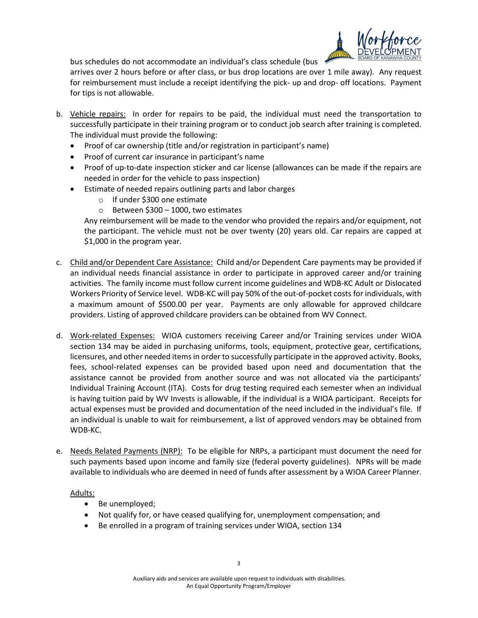

bus schedules do not accommodate an individual's class schedule (bus

arrives over 2 hours before or after class, or bus drop locations are over 1 mile away). Any request for reimbursement must include a receipt identifying the pick- up and drop- off locations. Payment for tips is not allowable.

- b. Vehicle repairs: In order for repairs to be paid, the individual must need the transportation to successfully participate in their training program or to conduct job search after training is completed. The individual must provide the following:
	- Proof of car ownership (title and/or registration in participant's name)
	- Proof of current car insurance in participant's name
	- Proof of up-to-date inspection sticker and car license (allowances can be made if the repairs are needed in order for the vehicle to pass inspection)
	- Estimate of needed repairs outlining parts and labor charges
		- o If under \$300 one estimate
		- o Between \$300 1000, two estimates

Any reimbursement will be made to the vendor who provided the repairs and/or equipment, not the participant. The vehicle must not be over twenty (20) years old. Car repairs are capped at \$1,000 in the program year.

- c. Child and/or Dependent Care Assistance: Child and/or Dependent Care payments may be provided if an individual needs financial assistance in order to participate in approved career and/or training activities. The family income must follow current income guidelines and WDB-KC Adult or Dislocated Workers Priority of Service level. WDB-KC will pay 50% of the out-of-pocket costs for individuals, with a maximum amount of \$500.00 per year. Payments are only allowable for approved childcare providers. Listing of approved childcare providers can be obtained from WV Connect.
- d. Work-related Expenses: WIOA customers receiving Career and/or Training services under WIOA section 134 may be aided in purchasing uniforms, tools, equipment, protective gear, certifications, licensures, and other needed items in order to successfully participate in the approved activity. Books, fees, school-related expenses can be provided based upon need and documentation that the assistance cannot be provided from another source and was not allocated via the participants' Individual Training Account (ITA). Costs for drug testing required each semester when an individual is having tuition paid by WV Invests is allowable, if the individual is a WIOA participant. Receipts for actual expenses must be provided and documentation of the need included in the individual's file. If an individual is unable to wait for reimbursement, a list of approved vendors may be obtained from WDB-KC.
- e. Needs Related Payments (NRP): To be eligible for NRPs, a participant must document the need for such payments based upon income and family size (federal poverty guidelines). NPRs will be made available to individuals who are deemed in need of funds after assessment by a WIOA Career Planner.

## Adults:

- Be unemployed;
- Not qualify for, or have ceased qualifying for, unemployment compensation; and
- Be enrolled in a program of training services under WIOA, section 134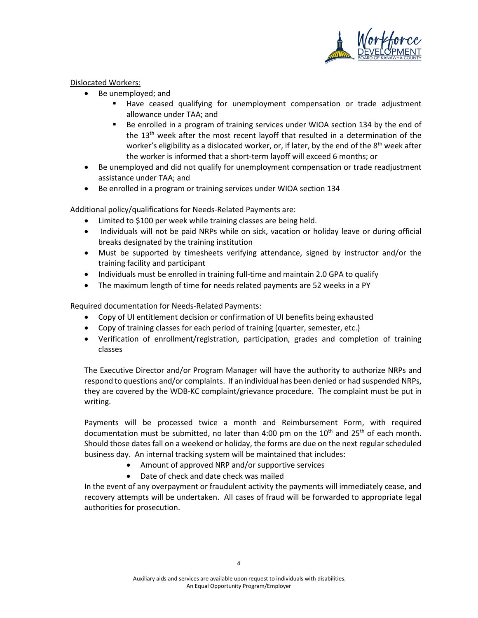

## Dislocated Workers:

- Be unemployed; and
	- Have ceased qualifying for unemployment compensation or trade adjustment allowance under TAA; and
	- Be enrolled in a program of training services under WIOA section 134 by the end of the 13<sup>th</sup> week after the most recent layoff that resulted in a determination of the worker's eligibility as a dislocated worker, or, if later, by the end of the  $8<sup>th</sup>$  week after the worker is informed that a short-term layoff will exceed 6 months; or
- Be unemployed and did not qualify for unemployment compensation or trade readjustment assistance under TAA; and
- Be enrolled in a program or training services under WIOA section 134

Additional policy/qualifications for Needs-Related Payments are:

- Limited to \$100 per week while training classes are being held.
- Individuals will not be paid NRPs while on sick, vacation or holiday leave or during official breaks designated by the training institution
- Must be supported by timesheets verifying attendance, signed by instructor and/or the training facility and participant
- Individuals must be enrolled in training full-time and maintain 2.0 GPA to qualify
- The maximum length of time for needs related payments are 52 weeks in a PY

Required documentation for Needs-Related Payments:

- Copy of UI entitlement decision or confirmation of UI benefits being exhausted
- Copy of training classes for each period of training (quarter, semester, etc.)
- Verification of enrollment/registration, participation, grades and completion of training classes

The Executive Director and/or Program Manager will have the authority to authorize NRPs and respond to questions and/or complaints. If an individual has been denied or had suspended NRPs, they are covered by the WDB-KC complaint/grievance procedure. The complaint must be put in writing.

Payments will be processed twice a month and Reimbursement Form, with required documentation must be submitted, no later than 4:00 pm on the  $10<sup>th</sup>$  and  $25<sup>th</sup>$  of each month. Should those dates fall on a weekend or holiday, the forms are due on the next regular scheduled business day. An internal tracking system will be maintained that includes:

- Amount of approved NRP and/or supportive services
- Date of check and date check was mailed

In the event of any overpayment or fraudulent activity the payments will immediately cease, and recovery attempts will be undertaken. All cases of fraud will be forwarded to appropriate legal authorities for prosecution.